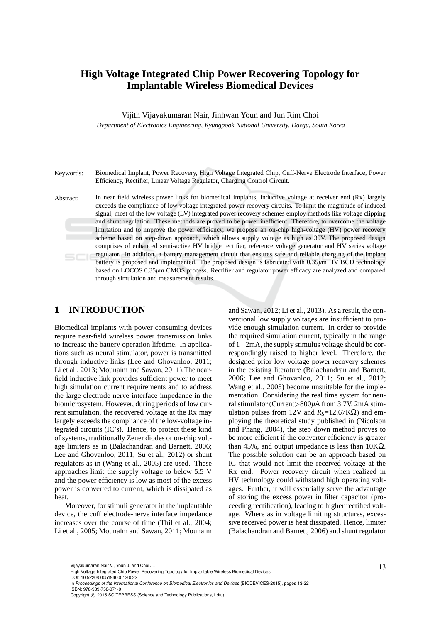# **High Voltage Integrated Chip Power Recovering Topology for Implantable Wireless Biomedical Devices**

Vijith Vijayakumaran Nair, Jinhwan Youn and Jun Rim Choi

*Department of Electronics Engineering, Kyungpook National University, Daegu, South Korea*

Keywords: Biomedical Implant, Power Recovery, High Voltage Integrated Chip, Cuff-Nerve Electrode Interface, Power Efficiency, Rectifier, Linear Voltage Regulator, Charging Control Circuit.

Abstract: In near field wireless power links for biomedical implants, inductive voltage at receiver end (Rx) largely exceeds the compliance of low voltage integrated power recovery circuits. To limit the magnitude of induced signal, most of the low voltage (LV) integrated power recovery schemes employ methods like voltage clipping and shunt regulation. These methods are proved to be power inefficient. Therefore, to overcome the voltage limitation and to improve the power efficiency, we propose an on-chip high-voltage (HV) power recovery scheme based on step-down approach, which allows supply voltage as high as 30V. The proposed design comprises of enhanced semi-active HV bridge rectifier, reference voltage generator and HV series voltage regulator. In addition, a battery management circuit that ensures safe and reliable charging of the implant battery is proposed and implemented. The proposed design is fabricated with 0.35*µ*m HV BCD technology based on LOCOS 0.35*µ*m CMOS process. Rectifier and regulator power efficacy are analyzed and compared through simulation and measurement results.

# **1 INTRODUCTION**

Biomedical implants with power consuming devices require near-field wireless power transmission links to increase the battery operation lifetime. In applications such as neural stimulator, power is transmitted through inductive links (Lee and Ghovanloo, 2011; Li et al., 2013; Mounaïm and Sawan, 2011). The nearfield inductive link provides sufficient power to meet high simulation current requirements and to address the large electrode nerve interface impedance in the biomicrosystem. However, during periods of low current simulation, the recovered voltage at the Rx may largely exceeds the compliance of the low-voltage integrated circuits (IC's). Hence, to protect these kind of systems, traditionally Zener diodes or on-chip voltage limiters as in (Balachandran and Barnett, 2006; Lee and Ghovanloo, 2011; Su et al., 2012) or shunt regulators as in (Wang et al., 2005) are used. These approaches limit the supply voltage to below 5.5 V and the power efficiency is low as most of the excess power is converted to current, which is dissipated as heat.

Moreover, for stimuli generator in the implantable device, the cuff electrode-nerve interface impedance increases over the course of time (Thil et al., 2004; Li et al., 2005; Mounaïm and Sawan, 2011; Mounaim

and Sawan, 2012; Li et al., 2013). As a result, the conventional low supply voltages are insufficient to provide enough simulation current. In order to provide the required simulation current, typically in the range of 1−2mA, the supply stimulus voltage should be correspondingly raised to higher level. Therefore, the designed prior low voltage power recovery schemes in the existing literature (Balachandran and Barnett, 2006; Lee and Ghovanloo, 2011; Su et al., 2012; Wang et al., 2005) become unsuitable for the implementation. Considering the real time system for neural stimulator (Current>800*µ*A from 3.7V, 2mA stimulation pulses from 12V and  $R<sub>S</sub>=12.67$ KΩ) and employing the theoretical study published in (Nicolson and Phang, 2004), the step down method proves to be more efficient if the converter efficiency is greater than 45%, and output impedance is less than  $10KΩ$ . The possible solution can be an approach based on IC that would not limit the received voltage at the Rx end. Power recovery circuit when realized in HV technology could withstand high operating voltages. Further, it will essentially serve the advantage of storing the excess power in filter capacitor (proceeding rectification), leading to higher rectified voltage. Where as in voltage limiting structures, excessive received power is heat dissipated. Hence, limiter (Balachandran and Barnett, 2006) and shunt regulator

DOI: 10.5220/0005194000130022

Vijayakumaran Nair V., Youn J. and Choi J..<br>High Voltage Integrated Chip Power Recovering Topology for Implantable Wireless Biomedical Devices.

In *Proceedings of the International Conference on Biomedical Electronics and Devices* (BIODEVICES-2015), pages 13-22 ISBN: 978-989-758-071-0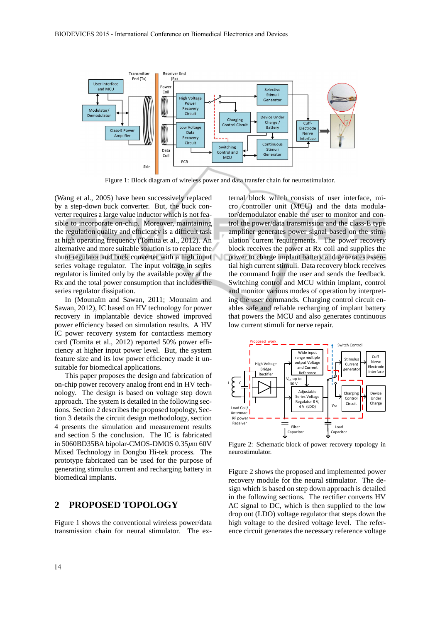

Figure 1: Block diagram of wireless power and data transfer chain for neurostimulator.

(Wang et al., 2005) have been successively replaced by a step-down buck converter. But, the buck converter requires a large value inductor which is not feasible to incorporate on-chip. Moreover, maintaining the regulation quality and efficiency is a difficult task at high operating frequency (Tomita et al., 2012). An alternative and more suitable solution is to replace the shunt regulator and buck converter with a high input series voltage regulator. The input voltage in series regulator is limited only by the available power at the Rx and the total power consumption that includes the series regulator dissipation.

In (Mounaïm and Sawan, 2011; Mounaim and Sawan, 2012), IC based on HV technology for power recovery in implantable device showed improved power efficiency based on simulation results. A HV IC power recovery system for contactless memory card (Tomita et al., 2012) reported 50% power efficiency at higher input power level. But, the system feature size and its low power efficiency made it unsuitable for biomedical applications.

This paper proposes the design and fabrication of on-chip power recovery analog front end in HV technology. The design is based on voltage step down approach. The system is detailed in the following sections. Section 2 describes the proposed topology, Section 3 details the circuit design methodology, section 4 presents the simulation and measurement results and section 5 the conclusion. The IC is fabricated in 5060BD35BA bipolar-CMOS-DMOS 0.35*µ*m 60V Mixed Technology in Dongbu Hi-tek process. The prototype fabricated can be used for the purpose of generating stimulus current and recharging battery in biomedical implants.

## **2 PROPOSED TOPOLOGY**

Figure 1 shows the conventional wireless power/data transmission chain for neural stimulator. The external block which consists of user interface, micro controller unit (MCU) and the data modulator/demodulator enable the user to monitor and control the power/data transmission and the class-E type amplifier generates power signal based on the stimulation current requirements. The power recovery block receives the power at Rx coil and supplies the power to charge implant battery and generates essential high current stimuli. Data recovery block receives the command from the user and sends the feedback. Switching control and MCU within implant, control and monitor various modes of operation by interpreting the user commands. Charging control circuit enables safe and reliable recharging of implant battery that powers the MCU and also generates continuous low current stimuli for nerve repair.



Figure 2: Schematic block of power recovery topology in neurostimulator.

Figure 2 shows the proposed and implemented power recovery module for the neural stimulator. The design which is based on step down approach is detailed in the following sections. The rectifier converts HV AC signal to DC, which is then supplied to the low drop out (LDO) voltage regulator that steps down the high voltage to the desired voltage level. The reference circuit generates the necessary reference voltage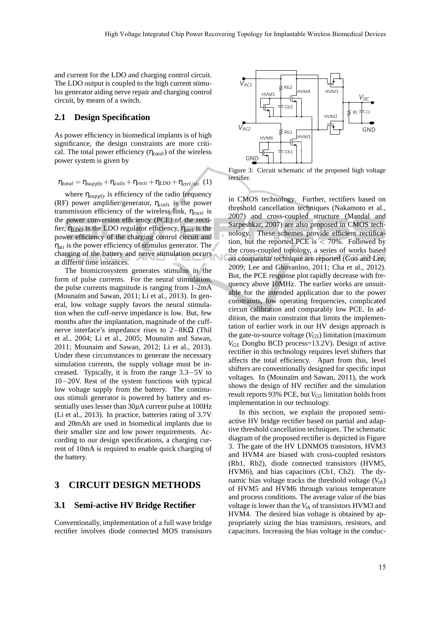and current for the LDO and charging control circuit. The LDO output is coupled to the high current stimulus generator aiding nerve repair and charging control circuit, by means of a switch.

### **2.1 Design Specification**

As power efficiency in biomedical implants is of high significance, the design constraints are more critical. The total power efficiency (η*total*) of the wireless power system is given by

$$
\eta_{total} = \eta_{supply} + \eta_{coils} + \eta_{recti} + \eta_{LDO} + \eta_{ctrl/sti} (1)
$$

where  $\eta_{\text{supply}}$  is efficiency of the radio frequency (RF) power amplifier/generator, η*coils* is the power transmission efficiency of the wireless link, η*recti* is the power conversion efficiency (PCE) of the rectifier, η*LDO* is the LDO regulator efficiency, η*ctrl* is the power efficiency of the charging control circuit and η*sti* is the power efficiency of stimulus generator. The charging of the battery and nerve stimulation occurs at differnt time instances.

The biomicrosystem generates stimulus in the form of pulse currents. For the neural stimulation, the pulse currents magnitude is ranging from 1-2mA (Mounaïm and Sawan,  $2011$ ; Li et al.,  $2013$ ). In general, low voltage supply favors the neural stimulation when the cuff-nerve impedance is low. But, few months after the implantation, magnitude of the cuffnerve interface's impedance rises to 2−8KΩ (Thil et al., 2004; Li et al., 2005; Mounaïm and Sawan, 2011; Mounaim and Sawan, 2012; Li et al., 2013). Under these circumstances to generate the necessary simulation currents, the supply voltage must be increased. Typically, it is from the range 3.3−5V to 10−20V. Rest of the system functions with typical low voltage supply from the battery. The continuous stimuli generator is powered by battery and essentially uses lesser than 30*µ*A current pulse at 100Hz (Li et al., 2013). In practice, batteries rating of 3.7V and 20mAh are used in biomedical implants due to their smaller size and low power requirements. According to our design specifications, a charging current of 10mA is required to enable quick charging of the battery.

# **3 CIRCUIT DESIGN METHODS**

### **3.1 Semi-active HV Bridge Rectifier**

Conventionally, implementation of a full wave bridge rectifier involves diode connected MOS transistors



Figure 3: Circuit schematic of the proposed high voltage rectifier.

in CMOS technology. Further, rectifiers based on threshold cancellation techniques (Nakamoto et al., 2007) and cross-coupled structure (Mandal and Sarpeshkar, 2007) are also proposed in CMOS technology. These schemes provide efficient rectification, but the reported PCE is  $<$  70%. Followed by the cross-coupled topology, a series of works based on comparator technique are reported (Guo and Lee, 2009; Lee and Ghovanloo, 2011; Cha et al., 2012). But, the PCE response plot rapidly decrease with frequency above 10MHz. The earlier works are unsuitable for the intended application due to the power constraints, low operating frequencies, complicated circuit calibration and comparably low PCE. In addition, the main constraint that limits the implementation of earlier work in our HV design approach is the gate-to-source voltage (*VGS*) limitation (maximum *VGS* Dongbu BCD process=13.2V). Design of active rectifier in this technology requires level shifters that affects the total efficiency. Apart from this, level shifters are conventionally designed for specific input voltages. In (Mounaïm and Sawan, 2011), the work shows the design of HV rectifier and the simulation result reports 93% PCE, but *VGS* limitation holds from implementation in our technology.

In this section, we explain the proposed semiactive HV bridge rectifier based on partial and adaptive threshold cancellation techniques. The schematic diagram of the proposed rectifier is depicted in Figure 3. The gate of the HV LDNMOS transistors, HVM3 and HVM4 are biased with cross-coupled resistors (Rb1, Rb2), diode connected transistors (HVM5, HVM6), and bias capacitors (Cb1, Cb2). The dynamic bias voltage tracks the threshold voltage (*Vth*) of HVM5 and HVM6 through various temperature and process conditions. The average value of the bias voltage is lower than the *Vth* of transistors HVM3 and HVM4. The desired bias voltage is obtained by appropriately sizing the bias transistors, resistors, and capacitors. Increasing the bias voltage in the conduc-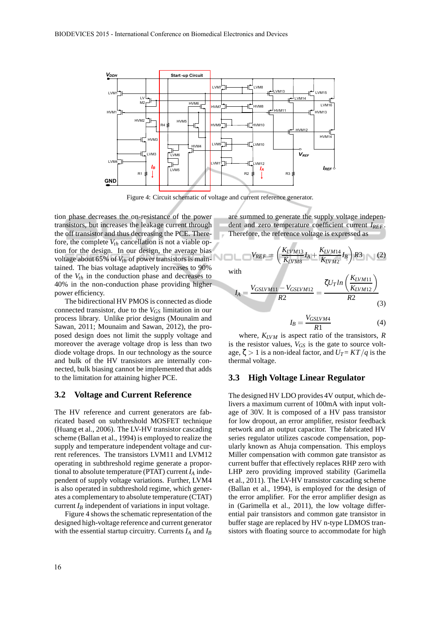

Figure 4: Circuit schematic of voltage and current reference generator.

tion phase decreases the on-resistance of the power transistors, but increases the leakage current through the off transistor and thus decreasing the PCE. Therefore, the complete  $V_{th}$  cancellation is not a viable option for the design. In our design, the average bias voltage about 65% of *Vth* of power transistors is maintained. The bias voltage adaptively increases to 90% of the  $V_{th}$  in the conduction phase and decreases to 40% in the non-conduction phase providing higher power efficiency.

The bidirectional HV PMOS is connected as diode connected transistor, due to the *VGS* limitation in our process library. Unlike prior designs (Mounaïm and Sawan, 2011; Mounaim and Sawan, 2012), the proposed design does not limit the supply voltage and moreover the average voltage drop is less than two diode voltage drops. In our technology as the source and bulk of the HV transistors are internally connected, bulk biasing cannot be implemented that adds to the limitation for attaining higher PCE.

#### **3.2 Voltage and Current Reference**

The HV reference and current generators are fabricated based on subthreshold MOSFET technique (Huang et al., 2006). The LV-HV transistor cascading scheme (Ballan et al., 1994) is employed to realize the supply and temperature independent voltage and current references. The transistors LVM11 and LVM12 operating in subthreshold regime generate a proportional to absolute temperature (PTAT) current *I<sup>A</sup>* independent of supply voltage variations. Further, LVM4 is also operated in subthreshold regime, which generates a complementary to absolute temperature (CTAT) current  $I_B$  independent of variations in input voltage.

Figure 4 shows the schematic representation of the designed high-voltage reference and current generator with the essential startup circuitry. Currents *I<sup>A</sup>* and *I<sup>B</sup>* are summed to generate the supply voltage independent and zero temperature coefficient current *IREF*. Therefore, the reference voltage is expressed as

$$
V_{REF} = \left(\frac{K_{LVM13}}{K_{LVM8}}I_A + \frac{K_{LVM14}}{K_{LVM2}}I_B\right)R3
$$
 (2)

with

$$
I_{A} = \frac{V_{GSLVM11} - V_{GSLVM12}}{R2} = \frac{\zeta U_{T} ln\left(\frac{K_{LVM11}}{K_{LVM12}}\right)}{R2}
$$
(3)

$$
I_B = \frac{V_{GSLVM4}}{R1} \tag{4}
$$

where,  $K_{LVM}$  is aspect ratio of the transistors,  $R$ is the resistor values,  $V_{GS}$  is the gate to source voltage,  $\zeta > 1$  is a non-ideal factor, and  $U_T = KT/q$  is the thermal voltage.

#### **3.3 High Voltage Linear Regulator**

The designed HV LDO provides 4V output, which delivers a maximum current of 100mA with input voltage of 30V. It is composed of a HV pass transistor for low dropout, an error amplifier, resistor feedback network and an output capacitor. The fabricated HV series regulator utilizes cascode compensation, popularly known as Ahuja compensation. This employs Miller compensation with common gate transistor as current buffer that effectively replaces RHP zero with LHP zero providing improved stability (Garimella et al., 2011). The LV-HV transistor cascading scheme (Ballan et al., 1994), is employed for the design of the error amplifier. For the error amplifier design as in (Garimella et al., 2011), the low voltage differential pair transistors and common gate transistor in buffer stage are replaced by HV n-type LDMOS transistors with floating source to accommodate for high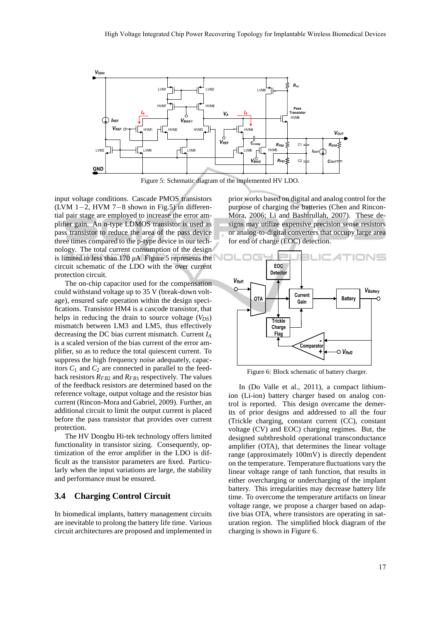

Figure 5: Schematic diagram of the implemented HV LDO.

input voltage conditions. Cascade PMOS transistors (LVM 1−2, HVM 7−8 shown in Fig.5) in differential pair stage are employed to increase the error amplifier gain. An n-type LDMOS transistor is used as pass transistor to reduce the area of the pass device three times compared to the p-type device in our technology. The total current consumption of the design is limited to less than 170  $\mu$ A. Figure 5 represents the circuit schematic of the LDO with the over current protection circuit.

The on-chip capacitor used for the compensation could withstand voltage up to 35 V (break-down voltage), ensured safe operation within the design specifications. Transistor HM4 is a cascode transistor, that helps in reducing the drain to source voltage  $(V_{DS})$ mismatch between LM3 and LM5, thus effectively decreasing the DC bias current mismatch. Current *I<sup>A</sup>* is a scaled version of the bias current of the error amplifier, so as to reduce the total quiescent current. To suppress the high frequency noise adequately, capacitors  $C_1$  and  $C_2$  are connected in parallel to the feedback resistors  $R_{FB2}$  and  $R_{FB1}$  respectively. The values of the feedback resistors are determined based on the reference voltage, output voltage and the resistor bias current (Rincon-Mora and Gabriel, 2009). Further, an additional circuit to limit the output current is placed before the pass transistor that provides over current protection.

The HV Dongbu Hi-tek technology offers limited functionality in transistor sizing. Consequently, optimization of the error amplifier in the LDO is difficult as the transistor parameters are fixed. Particularly when the input variations are large, the stability and performance must be ensured.

#### **3.4 Charging Control Circuit**

In biomedical implants, battery management circuits are inevitable to prolong the battery life time. Various circuit architectures are proposed and implemented in

prior works based on digital and analog control for the purpose of charging the batteries (Chen and Rincon-Mora, 2006; Li and Bashirullah, 2007). These designs may utilize expensive precision sense resistors or analog-to-digital converters that occupy large area for end of charge (EOC) detection.



Figure 6: Block schematic of battery charger.

In (Do Valle et al., 2011), a compact lithiumion (Li-ion) battery charger based on analog control is reported. This design overcame the demerits of prior designs and addressed to all the four (Trickle charging, constant current (CC), constant voltage (CV) and EOC) charging regimes. But, the designed subthreshold operational transconductance amplifier (OTA), that determines the linear voltage range (approximately 100mV) is directly dependent on the temperature. Temperature fluctuations vary the linear voltage range of tanh function, that results in either overcharging or undercharging of the implant battery. This irregularities may decrease battery life time. To overcome the temperature artifacts on linear voltage range, we propose a charger based on adaptive bias OTA, where transistors are operating in saturation region. The simplified block diagram of the charging is shown in Figure 6.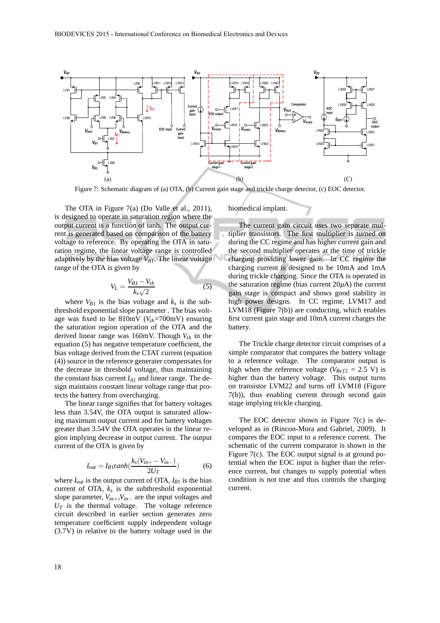

Figure 7: Schematic diagram of (a) OTA, (b) Current gain stage and trickle charge detector, (c) EOC detector.

The OTA in Figure 7(a) (Do Valle et al., 2011), is designed to operate in saturation region where the output current is a function of tanh. The output current is generated based on comparison of the battery voltage to reference. By operating the OTA in saturation regime, the linear voltage range is controlled adaptively by the bias voltage  $V_{B1}$ . The linear voltage range of the OTA is given by

$$
V_L = \frac{V_{B1} - V_{th}}{k_s \sqrt{2}}\tag{5}
$$

where  $V_{B1}$  is the bias voltage and  $k_s$  is the subthreshold exponential slope parameter . The bias voltage was fixed to be 810mV (*Vth*=700mV) ensuring the saturation region operation of the OTA and the derived linear range was 160mV. Though *Vth* in the equation (5) has negative temperature coefficient, the bias voltage derived from the CTAT current (equation (4)) source in the reference generater compensates for the decrease in threshold voltage, thus maintaining the constant bias current  $I_{A1}$  and linear range. The design maintains constant linear voltage range that protects the battery from overcharging.

The linear range signifies that for battery voltages less than 3.54V, the OTA output is saturated allowing maximum output current and for battery voltages greater than 3.54V the OTA operates in the linear region implying decrease in output current. The output current of the OTA is given by

$$
I_{out} = I_{B1} \tanh\left(\frac{k_s(V_{in+} - V_{in-})}{2U_T}\right) \tag{6}
$$

where  $I_{out}$  is the output current of OTA,  $I_{B1}$  is the bias current of OTA,  $k_s$  is the subthreshold exponential slope parameter, *Vin*+,*Vin*<sup>−</sup> are the input voltages and  $U_T$  is the thermal voltage. The voltage reference circuit described in earlier section generates zero temperature coefficient supply independent voltage (3.7V) in relative to the battery voltage used in the biomedical implant.

The current gain circuit uses two separate multiplier transistors. The first multiplier is turned on during the CC regime and has higher current gain and the second multiplier operates at the time of trickle charging providing lower gain. In CC regime the charging current is designed to be 10mA and 1mA during trickle charging. Since the OTA is operated in the saturation regime (bias current  $20\mu$ A) the current gain stage is compact and shows good stability in high power designs. In CC regime, LVM17 and LVM18 (Figure 7(b)) are conducting, which enables first current gain stage and 10mA current charges the battery.

The Trickle charge detector circuit comprises of a simple comparator that compares the battery voltage to a reference voltage. The comparator output is high when the reference voltage ( $V_{Ref2} = 2.5$  V) is higher than the battery voltage. This output turns on transistor LVM22 and turns off LVM18 (Figure 7(b)), thus enabling current through second gain stage implying trickle charging.

The EOC detector shown in Figure 7(c) is developed as in (Rincon-Mora and Gabriel, 2009). It compares the EOC input to a reference current. The schematic of the current comparator is shown in the Figure 7(c). The EOC output signal is at ground potential when the EOC input is higher than the reference current, but changes to supply potential when condition is not true and thus controls the charging current.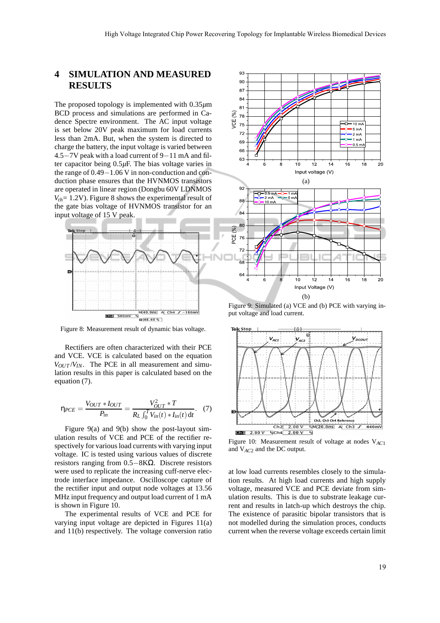# **4 SIMULATION AND MEASURED RESULTS**

The proposed topology is implemented with 0.35*µ*m BCD process and simulations are performed in Cadence Spectre environment. The AC input voltage is set below 20V peak maximum for load currents less than 2mA. But, when the system is directed to charge the battery, the input voltage is varied between 4.5−7V peak with a load current of 9−11 mA and filter capacitor being 0.5*µ*F. The bias voltage varies in the range of 0.49−1.06 V in non-conduction and conduction phase ensures that the HVNMOS transistors are operated in linear region (Dongbu 60V LDNMOS  $V_{th}$ = 1.2V). Figure 8 shows the experimental result of the gate bias voltage of HVNMOS transistor for an input voltage of 15 V peak.



Figure 8: Measurement result of dynamic bias voltage.

Rectifiers are often characterized with their PCE and VCE. VCE is calculated based on the equation  $V_{OUT}/V_{IN}$ . The PCE in all measurement and simulation results in this paper is calculated based on the equation (7).

$$
\eta_{PCE} = \frac{V_{OUT} * I_{OUT}}{P_{in}} = \frac{V_{OUT}^2 * T}{R_L \int_0^T V_{in}(t) * I_{in}(t) dt}.
$$
 (7)

Figure 9(a) and 9(b) show the post-layout simulation results of VCE and PCE of the rectifier respectively for various load currents with varying input voltage. IC is tested using various values of discrete resistors ranging from 0.5−8KΩ. Discrete resistors were used to replicate the increasing cuff-nerve electrode interface impedance. Oscilloscope capture of the rectifier input and output node voltages at 13.56 MHz input frequency and output load current of 1 mA is shown in Figure 10.

The experimental results of VCE and PCE for varying input voltage are depicted in Figures 11(a) and 11(b) respectively. The voltage conversion ratio



Figure 9: Simulated (a) VCE and (b) PCE with varying input voltage and load current.



Figure 10: Measurement result of voltage at nodes V*AC*<sup>1</sup> and V*AC*<sup>2</sup> and the DC output.

at low load currents resembles closely to the simulation results. At high load currents and high supply voltage, measured VCE and PCE deviate from simulation results. This is due to substrate leakage current and results in latch-up which destroys the chip. The existence of parasitic bipolar transistors that is not modelled during the simulation proces, conducts current when the reverse voltage exceeds certain limit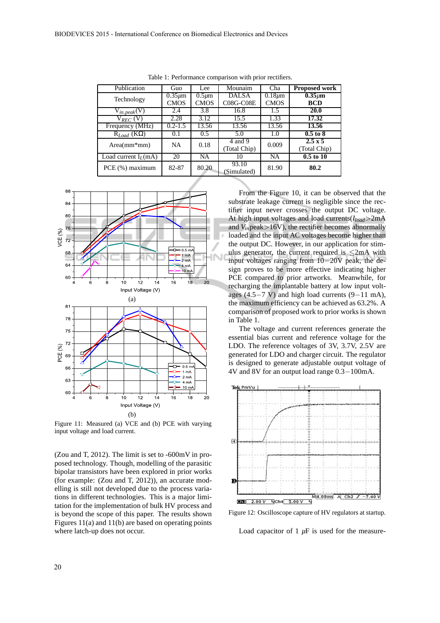| Publication            | Guo          | Lee         | Mounaim                 | Cha          | Proposed work                  |
|------------------------|--------------|-------------|-------------------------|--------------|--------------------------------|
| Technology             | $0.35 \mu m$ | $0.5 \mu m$ | <b>DALSA</b>            | $0.18 \mu m$ | $0.35 \mu m$                   |
|                        | <b>CMOS</b>  | <b>CMOS</b> | <b>C08G-C08E</b>        | <b>CMOS</b>  | <b>BCD</b>                     |
| $V_{in,peak}(V)$       | 2.4          | 3.8         | 16.8                    | 1.5          | <b>20.0</b>                    |
| $V_{REC}$ (V)          | 2.28         | 3.12        | 15.5                    | 1.33         | 17.32                          |
| Frequency (MHz)        | $0.2 - 1.5$  | 13.56       | 13.56                   | 13.56        | 13.56                          |
| $R_{Load}$ (KO)        | 0.1          | 0.5         | 5.0                     | 1.0          | $0.5$ to $8$                   |
| $Area(mm*mm)$          | NA           | 0.18        | 4 and 9<br>(Total Chip) | 0.009        | $2.5 \times 5$<br>(Total Chip) |
| Load current $I_I(mA)$ | 20           | NA          | 10                      | NA           | $0.5$ to $10$                  |
| PCE (%) maximum        | 82-87        | 80.20       | 93.10<br>(Simulated)    | 81.90        | 80.2                           |

Table 1: Performance comparison with prior rectifiers.



Figure 11: Measured (a) VCE and (b) PCE with varying input voltage and load current.

(Zou and T, 2012). The limit is set to -600mV in proposed technology. Though, modelling of the parasitic bipolar transistors have been explored in prior works (for example: (Zou and T, 2012)), an accurate modelling is still not developed due to the process variations in different technologies. This is a major limitation for the implementation of bulk HV process and is beyond the scope of this paper. The results shown Figures 11(a) and 11(b) are based on operating points where latch-up does not occur.

From the Figure 10, it can be observed that the substrate leakage current is negligible since the rectifier input never crosses the output DC voltage. At high input voltages and load currents(*Iload*>2mA and  $V_{in}$  peak > 16V), the rectifier becomes abnormally loaded and the input AC voltages become higher than the output DC. However, in our application for stimulus generator, the current required is  $\leq 2mA$  with input voltages ranging from 10−20V peak, the design proves to be more effective indicating higher PCE compared to prior artworks. Meanwhile, for recharging the implantable battery at low input voltages (4.5−7 V) and high load currents (9−11 mA), the maximum efficiency can be achieved as 63.2%. A comparison of proposed work to prior works is shown in Table 1.

The voltage and current references generate the essential bias current and reference voltage for the LDO. The reference voltages of 3V, 3.7V, 2.5V are generated for LDO and charger circuit. The regulator is designed to generate adjustable output voltage of 4V and 8V for an output load range 0.3−100mA.



Figure 12: Oscilloscope capture of HV regulators at startup.

Load capacitor of 1 *µ*F is used for the measure-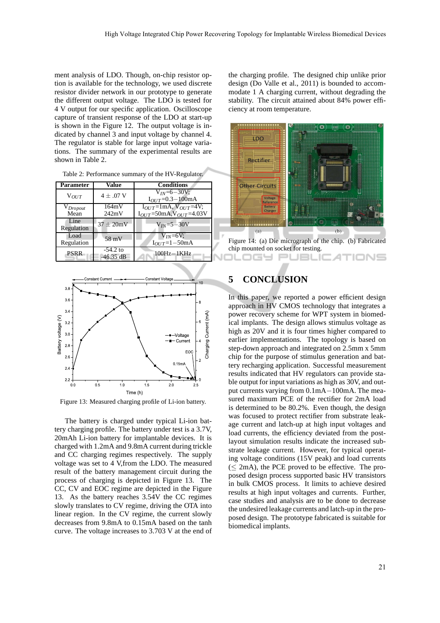ment analysis of LDO. Though, on-chip resistor option is available for the technology, we used discrete resistor divider network in our prototype to generate the different output voltage. The LDO is tested for 4 V output for our specific application. Oscilloscope capture of transient response of the LDO at start-up is shown in the Figure 12. The output voltage is indicated by channel 3 and input voltage by channel 4. The regulator is stable for large input voltage variations. The summary of the experimental results are shown in Table 2.

Table 2: Performance summary of the HV-Regulator.

| <b>Parameter</b> | Value          | <b>Conditions</b>                          |  |  |
|------------------|----------------|--------------------------------------------|--|--|
| $V_{OUT}$        | $4 \pm .07$ V  | $V_{IN}=6-30V$ ;<br>$I_{OUT}$ =0.3 – 100mA |  |  |
| $V_{Dropout}$    | 164mV          | $I_{OUT}$ =1mA, $V_{OUT}$ =4V;             |  |  |
| Mean             | 242mV          | $I_{OUT}$ =50mA, $V_{OUT}$ =4.03V          |  |  |
| Line             | $37 \pm 20$ mV | $V_{IN} = 5 - 30V$                         |  |  |
| Regulation       |                |                                            |  |  |
| Load             | 58 mV          | $V_{IN}=6V$ :                              |  |  |
| Regulation       |                | $I_{OUT} = 1 - 50$ mA                      |  |  |
| <b>PSRR</b>      | $-54.2$ to     | $100Hz - 1KHz$                             |  |  |
|                  | $-46.35$ dB    |                                            |  |  |



Figure 13: Measured charging profile of Li-ion battery.

The battery is charged under typical Li-ion battery charging profile. The battery under test is a 3.7V, 20mAh Li-ion battery for implantable devices. It is charged with 1.2mA and 9.8mA current during trickle and CC charging regimes respectively. The supply voltage was set to 4 V,from the LDO. The measured result of the battery management circuit during the process of charging is depicted in Figure 13. The CC, CV and EOC regime are depicted in the Figure 13. As the battery reaches 3.54V the CC regimes slowly translates to CV regime, driving the OTA into linear region. In the CV regime, the current slowly decreases from 9.8mA to 0.15mA based on the tanh curve. The voltage increases to 3.703 V at the end of

the charging profile. The designed chip unlike prior design (Do Valle et al., 2011) is bounded to accommodate 1 A charging current, without degrading the stability. The circuit attained about 84% power efficiency at room temperature.



Figure 14: (a) Die micrograph of the chip. (b) Fabricated chip mounted on socket for testing. JBLK

IONS

# **5 CONCLUSION**

IGY Pl

In this paper, we reported a power efficient design approach in HV CMOS technology that integrates a power recovery scheme for WPT system in biomedical implants. The design allows stimulus voltage as high as 20V and it is four times higher compared to earlier implementations. The topology is based on step-down approach and integrated on 2.5mm x 5mm chip for the purpose of stimulus generation and battery recharging application. Successful measurement results indicated that HV regulators can provide stable output for input variations as high as 30V, and output currents varying from 0.1mA−100mA. The measured maximum PCE of the rectifier for 2mA load is determined to be 80.2%. Even though, the design was focused to protect rectifier from substrate leakage current and latch-up at high input voltages and load currents, the efficiency deviated from the postlayout simulation results indicate the increased substrate leakage current. However, for typical operating voltage conditions (15V peak) and load currents  $(< 2mA)$ , the PCE proved to be effective. The proposed design process supported basic HV transistors in bulk CMOS process. It limits to achieve desired results at high input voltages and currents. Further, case studies and analysis are to be done to decrease the undesired leakage currents and latch-up in the proposed design. The prototype fabricated is suitable for biomedical implants.